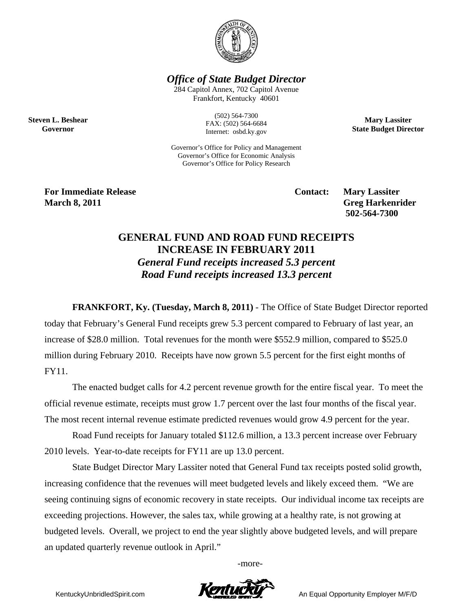

*Office of State Budget Director* 

284 Capitol Annex, 702 Capitol Avenue Frankfort, Kentucky 40601

> (502) 564-7300 FAX: (502) 564-6684 Internet: osbd.ky.gov

**Mary Lassiter State Budget Director** 

Governor's Office for Policy and Management Governor's Office for Economic Analysis Governor's Office for Policy Research

**For Immediate Release Service Service Service Contact: Mary Lassiter March 8, 2011** Greg Harkenrider **Greg Harkenrider Greg Harkenrider Greg Harkenrider** 

**Steven L. Beshear Governor** 

 **502-564-7300** 

## **GENERAL FUND AND ROAD FUND RECEIPTS INCREASE IN FEBRUARY 2011**  *General Fund receipts increased 5.3 percent Road Fund receipts increased 13.3 percent*

**FRANKFORT, Ky. (Tuesday, March 8, 2011)** - The Office of State Budget Director reported today that February's General Fund receipts grew 5.3 percent compared to February of last year, an increase of \$28.0 million. Total revenues for the month were \$552.9 million, compared to \$525.0 million during February 2010. Receipts have now grown 5.5 percent for the first eight months of FY11.

The enacted budget calls for 4.2 percent revenue growth for the entire fiscal year. To meet the official revenue estimate, receipts must grow 1.7 percent over the last four months of the fiscal year. The most recent internal revenue estimate predicted revenues would grow 4.9 percent for the year.

Road Fund receipts for January totaled \$112.6 million, a 13.3 percent increase over February 2010 levels. Year-to-date receipts for FY11 are up 13.0 percent.

State Budget Director Mary Lassiter noted that General Fund tax receipts posted solid growth, increasing confidence that the revenues will meet budgeted levels and likely exceed them. "We are seeing continuing signs of economic recovery in state receipts. Our individual income tax receipts are exceeding projections. However, the sales tax, while growing at a healthy rate, is not growing at budgeted levels. Overall, we project to end the year slightly above budgeted levels, and will prepare an updated quarterly revenue outlook in April."

-more-

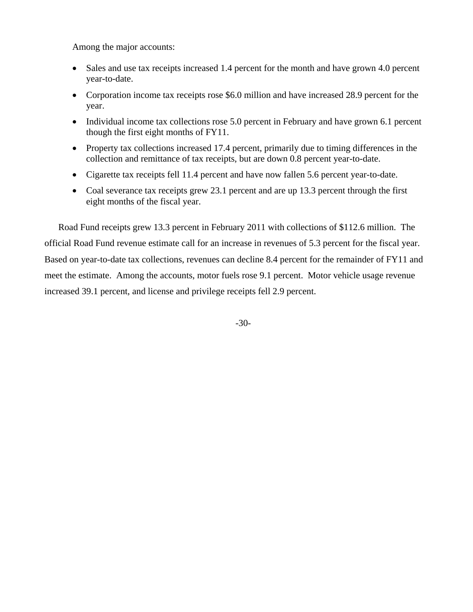Among the major accounts:

- Sales and use tax receipts increased 1.4 percent for the month and have grown 4.0 percent year-to-date.
- Corporation income tax receipts rose \$6.0 million and have increased 28.9 percent for the year.
- Individual income tax collections rose 5.0 percent in February and have grown 6.1 percent though the first eight months of FY11.
- Property tax collections increased 17.4 percent, primarily due to timing differences in the collection and remittance of tax receipts, but are down 0.8 percent year-to-date.
- Cigarette tax receipts fell 11.4 percent and have now fallen 5.6 percent year-to-date.
- Coal severance tax receipts grew 23.1 percent and are up 13.3 percent through the first eight months of the fiscal year.

Road Fund receipts grew 13.3 percent in February 2011 with collections of \$112.6 million. The official Road Fund revenue estimate call for an increase in revenues of 5.3 percent for the fiscal year. Based on year-to-date tax collections, revenues can decline 8.4 percent for the remainder of FY11 and meet the estimate. Among the accounts, motor fuels rose 9.1 percent. Motor vehicle usage revenue increased 39.1 percent, and license and privilege receipts fell 2.9 percent.

-30-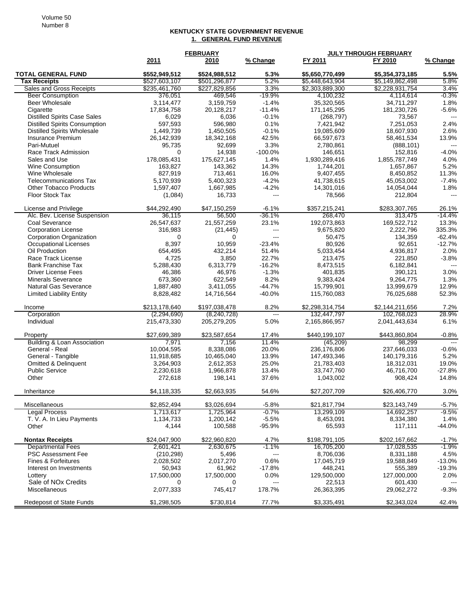## **KENTUCKY STATE GOVERNMENT REVENUE 1. GENERAL FUND REVENUE**

|                                      | <b>FEBRUARY</b> |               |                     | <b>JULY THROUGH FEBRUARY</b> |                 |          |  |
|--------------------------------------|-----------------|---------------|---------------------|------------------------------|-----------------|----------|--|
|                                      | 2011            | 2010          | % Change            | FY 2011                      | FY 2010         | % Change |  |
| <b>TOTAL GENERAL FUND</b>            | \$552,949,512   | \$524,988,512 | 5.3%                | \$5,650,770,499              | \$5,354,373,185 | 5.5%     |  |
| Tax Receipts                         | \$527,603,107   | \$501,296,877 | 5.2%                | \$5,448,643,904              | \$5,149,862,498 | 5.8%     |  |
| Sales and Gross Receipts             | \$235,461,760   | \$227,829,856 | 3.3%                | \$2,303,889,300              | \$2,228,931,754 | 3.4%     |  |
| <b>Beer Consumption</b>              | 376,051         | 469,546       | $-19.9%$            | 4,100,232                    | 4,114,614       | $-0.3%$  |  |
| Beer Wholesale                       | 3.114.477       | 3.159.759     | $-1.4%$             | 35,320,565                   | 34,711,297      | 1.8%     |  |
| Cigarette                            | 17,834,758      | 20,128,217    | $-11.4%$            | 171,145,295                  | 181,230,726     | $-5.6%$  |  |
| <b>Distilled Spirits Case Sales</b>  | 6,029           | 6,036         | $-0.1%$             | (268, 797)                   | 73,567          |          |  |
| <b>Distilled Spirits Consumption</b> | 597,593         | 596,980       | 0.1%                | 7,421,942                    | 7,251,053       | 2.4%     |  |
| <b>Distilled Spirits Wholesale</b>   | 1,449,739       | 1,450,505     | $-0.1%$             | 19,085,609                   | 18,607,930      | 2.6%     |  |
| Insurance Premium                    | 26,142,939      | 18,342,168    | 42.5%               | 66,597,673                   | 58,461,534      | 13.9%    |  |
| Pari-Mutuel                          | 95,735          | 92.699        | 3.3%                | 2.780.861                    | (888, 101)      |          |  |
| Race Track Admission                 | $\Omega$        | 14,938        | $-100.0%$           | 146,651                      | 152,816         | $-4.0%$  |  |
| Sales and Use                        | 178,085,431     | 175,627,145   | 1.4%                | 1,930,289,416                | 1,855,787,749   | 4.0%     |  |
| Wine Consumption                     | 163,827         | 143,362       | 14.3%               | 1,744,201                    | 1,657,867       | 5.2%     |  |
| Wine Wholesale                       | 827,919         | 713,461       | 16.0%               | 9,407,455                    | 8,450,852       | 11.3%    |  |
| <b>Telecommunications Tax</b>        | 5,170,939       | 5,400,323     | $-4.2%$             | 41,738,615                   | 45,053,002      | $-7.4%$  |  |
| <b>Other Tobacco Products</b>        | 1,597,407       | 1,667,985     | $-4.2%$             | 14,301,016                   | 14,054,044      | 1.8%     |  |
| Floor Stock Tax                      | (1,084)         | 16,733        | ---                 | 78,566                       | 212,804         | $---$    |  |
| License and Privilege                | \$44.292.490    | \$47,150,259  | $-6.1%$             | \$357,215,241                | \$283,307,765   | 26.1%    |  |
| Alc. Bev. License Suspension         | 36,115          | 56,500        | $-36.1%$            | 268,470                      | 313,475         | $-14.4%$ |  |
| Coal Severance                       | 26,547,637      | 21,557,259    | 23.1%               | 192,073,863                  | 169,522,712     | 13.3%    |  |
| <b>Corporation License</b>           | 316,983         | (21, 445)     | $---$               | 9,675,820                    | 2,222,796       | 335.3%   |  |
| <b>Corporation Organization</b>      | 0               | 0             | $---$               | 50,475                       | 134,359         | $-62.4%$ |  |
| <b>Occupational Licenses</b>         | 8,397           | 10,959        | $-23.4%$            | 80,926                       | 92,651          | $-12.7%$ |  |
| Oil Production                       | 654,495         | 432,214       | 51.4%               | 5,033,454                    | 4,936,817       | 2.0%     |  |
| Race Track License                   | 4,725           | 3,850         | 22.7%               | 213,475                      | 221,850         | $-3.8%$  |  |
| <b>Bank Franchise Tax</b>            | 5,288,430       | 6,313,779     | $-16.2%$            | 8,473,515                    | 6,182,841       |          |  |
| <b>Driver License Fees</b>           | 46,386          | 46,976        | $-1.3%$             | 401,835                      | 390,121         | 3.0%     |  |
| <b>Minerals Severance</b>            | 673,360         | 622,549       | 8.2%                | 9,383,424                    | 9,264,775       | 1.3%     |  |
| <b>Natural Gas Severance</b>         | 1,887,480       | 3,411,055     | $-44.7%$            | 15,799,901                   | 13,999,679      | 12.9%    |  |
| <b>Limited Liability Entity</b>      | 8,828,482       | 14,716,564    | $-40.0%$            | 115,760,083                  | 76,025,688      | 52.3%    |  |
| Income                               | \$213,178,640   | \$197,038,478 | 8.2%                | \$2,298,314,754              | \$2,144,211,656 | 7.2%     |  |
| Corporation                          | (2, 294, 690)   | (8,240,728)   | $\overline{a}$      | 132,447,797                  | 102,768,023     | 28.9%    |  |
| Individual                           | 215,473,330     | 205,279,205   | 5.0%                | 2,165,866,957                | 2,041,443,634   | 6.1%     |  |
| Property                             | \$27,699,389    | \$23,587,654  | 17.4%               | \$440,199,107                | \$443,860,804   | $-0.8%$  |  |
| Building & Loan Association          | 7,971           | 7,156         | 11.4%               | (45, 209)                    | 98,299          |          |  |
| General - Real                       | 10,004,595      | 8,338,086     | 20.0%               | 236,176,806                  | 237,646,033     | $-0.6%$  |  |
| General - Tangible                   | 11,918,685      | 10,465,040    | 13.9%               | 147,493,346                  | 140,179,316     | 5.2%     |  |
| <b>Omitted &amp; Delinquent</b>      | 3,264,903       | 2,612,353     | 25.0%               | 21,783,403                   | 18,312,031      | 19.0%    |  |
| <b>Public Service</b>                | 2,230,618       | 1,966,878     | 13.4%               | 33,747,760                   | 46,716,700      | $-27.8%$ |  |
| Other                                | 272,618         | 198,141       | 37.6%               | 1,043,002                    | 908,424         | 14.8%    |  |
| Inheritance                          | \$4.118.335     | \$2,663,935   | 54.6%               | \$27,207,709                 | \$26,406,770    | 3.0%     |  |
| Miscellaneous                        | \$2,852,494     | \$3.026.694   | $-5.8%$             | \$21,817,794                 | \$23.143.749    | $-5.7%$  |  |
| <b>Legal Process</b>                 | 1,713,617       | 1,725,964     | $-0.7\%$            | 13,299,109                   | 14,692,257      | $-9.5%$  |  |
| T. V. A. In Lieu Payments            | 1,134,733       | 1,200,142     | $-5.5%$             | 8,453,091                    | 8,334,380       | 1.4%     |  |
| Other                                | 4,144           | 100,588       | $-95.9%$            | 65,593                       | 117,111         | $-44.0%$ |  |
| <b>Nontax Receipts</b>               | \$24,047,900    | \$22,960,820  | 4.7%                | \$198,791,105                | \$202,167,662   | $-1.7%$  |  |
| Departmental Fees                    | 2,601,421       | 2,630,675     | $-1.1%$             | 16,705,200                   | 17,028,535      | $-1.9%$  |  |
| <b>PSC Assessment Fee</b>            | (210, 298)      | 5,496         | $\qquad \qquad - -$ | 8,706,036                    | 8,331,188       | 4.5%     |  |
| Fines & Forfeitures                  | 2,028,502       | 2,017,270     | 0.6%                | 17,045,719                   | 19,588,849      | $-13.0%$ |  |
| Interest on Investments              | 50,943          | 61,962        | $-17.8%$            | 448,241                      | 555,389         | $-19.3%$ |  |
| Lottery                              | 17,500,000      | 17,500,000    | 0.0%                | 129,500,000                  | 127,000,000     | 2.0%     |  |
| Sale of NOx Credits                  | 0               | 0             | ---                 | 22,513                       | 601,430         | ---      |  |
| Miscellaneous                        | 2,077,333       | 745,417       | 178.7%              | 26,363,395                   | 29,062,272      | $-9.3%$  |  |
| Redeposit of State Funds             | \$1,298,505     | \$730,814     | 77.7%               | \$3,335,491                  | \$2,343,024     | 42.4%    |  |